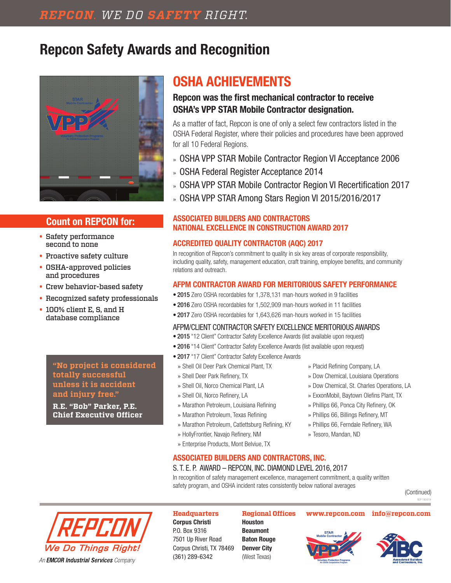# **Repcon Safety Awards and Recognition**



# **Count on REPCON for:**

- Safety performance second to none
- Proactive safety culture
- OSHA-approved policies and procedures
- Crew behavior-based safety
- Recognized safety professionals
- 100% client E, S, and H database compliance

**"No project is considered totally successful unless it is accident and injury free."**

**R.E. "Bob" Parker, P.E. Chief Executive Officer**

# **OSHA ACHIEVEMENTS**

# **Repcon was the first mechanical contractor to receive OSHA's VPP STAR Mobile Contractor designation.**

As a matter of fact, Repcon is one of only a select few contractors listed in the OSHA Federal Register, where their policies and procedures have been approved for all 10 Federal Regions.

- » OSHA VPP STAR Mobile Contractor Region VI Acceptance 2006
- » OSHA Federal Register Acceptance 2014
- » OSHA VPP STAR Mobile Contractor Region VI Recertification 2017
- » OSHA VPP STAR Among Stars Region VI 2015/2016/2017

## **ASSOCIATED BUILDERS AND CONTRACTORS NATIONAL EXCELLENCE IN CONSTRUCTION AWARD 2017**

# **ACCREDITED QUALITY CONTRACTOR (AQC) 2017**

In recognition of Repcon's commitment to quality in six key areas of corporate responsibility, including quality, safety, management education, craft training, employee benefits, and community relations and outreach.

# **AFPM CONTRACTOR AWARD FOR MERITORIOUS SAFETY PERFORMANCE**

- 2015 Zero OSHA recordables for 1,378,131 man-hours worked in 9 facilities
- 2016 Zero OSHA recordables for 1,502,909 man-hours worked in 11 facilities
- 2017 Zero OSHA recordables for 1,643,626 man-hours worked in 15 facilities

## AFPM/CLIENT CONTRACTOR SAFETY EXCELLENCE MERITORIOUS AWARDS

- 2015 "12 Client" Contractor Safety Excellence Awards (list available upon request)
- 2016 "14 Client" Contractor Safety Excellence Awards (list available upon request)
- 2017 "17 Client" Contractor Safety Excellence Awards
- » Shell Oil Deer Park Chemical Plant, TX
- » Shell Deer Park Refinery, TX
- » Shell Oil, Norco Chemical Plant, LA
- » Shell Oil, Norco Refinery, LA
- » Marathon Petroleum, Louisiana Refining
- » Marathon Petroleum, Texas Refining
- » Marathon Petroleum, Catlettsburg Refining, KY
- » HollyFrontier, Navajo Refinery, NM
- » Enterprise Products, Mont Belviue, TX

# » Placid Refining Company, LA

- » Dow Chemical, Louisiana Operations
- » Dow Chemical, St. Charles Operations, LA
- » ExxonMobil, Baytown Olefins Plant, TX
- » Phillips 66, Ponca City Refinery, OK
- » Phillips 66, Billings Refinery, MT
- » Phillips 66, Ferndale Refinery, WA
- » Tesoro, Mandan, ND
- **ASSOCIATED BUILDERS AND CONTRACTORS, INC.** S. T. E. P. AWARD – REPCON, INC. DIAMOND LEVEL 2016, 2017 In recognition of safety management excellence, management commitment, a quality written

safety program, and OSHA incident rates consistently below national averages





# **Headquarters**

**Corpus Christi**  P.O. Box 9316 7501 Up River Road Corpus Christi, TX 78469 (361) 289-6342

**Houston Beaumont Baton Rouge Denver City** (West Texas)

### **Regional Offices www.repcon.com info@repcon.com**